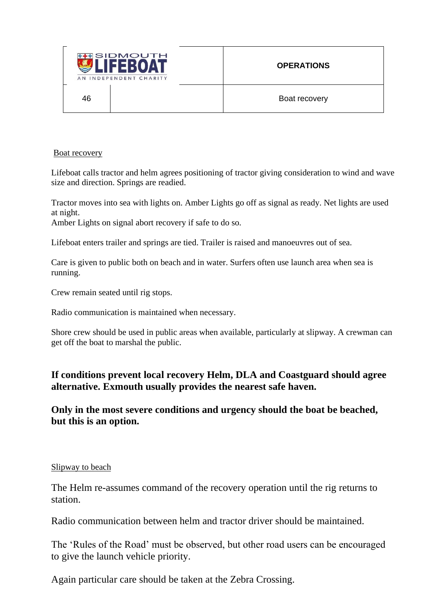

#### Boat recovery

Lifeboat calls tractor and helm agrees positioning of tractor giving consideration to wind and wave size and direction. Springs are readied.

Tractor moves into sea with lights on. Amber Lights go off as signal as ready. Net lights are used at night.

Amber Lights on signal abort recovery if safe to do so.

Lifeboat enters trailer and springs are tied. Trailer is raised and manoeuvres out of sea.

Care is given to public both on beach and in water. Surfers often use launch area when sea is running.

Crew remain seated until rig stops.

Radio communication is maintained when necessary.

Shore crew should be used in public areas when available, particularly at slipway. A crewman can get off the boat to marshal the public.

# **If conditions prevent local recovery Helm, DLA and Coastguard should agree alternative. Exmouth usually provides the nearest safe haven.**

**Only in the most severe conditions and urgency should the boat be beached, but this is an option.**

### Slipway to beach

The Helm re-assumes command of the recovery operation until the rig returns to station.

Radio communication between helm and tractor driver should be maintained.

The 'Rules of the Road' must be observed, but other road users can be encouraged to give the launch vehicle priority.

Again particular care should be taken at the Zebra Crossing.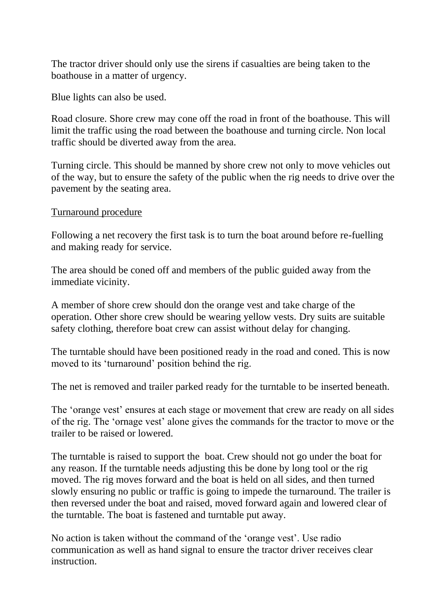The tractor driver should only use the sirens if casualties are being taken to the boathouse in a matter of urgency.

Blue lights can also be used.

Road closure. Shore crew may cone off the road in front of the boathouse. This will limit the traffic using the road between the boathouse and turning circle. Non local traffic should be diverted away from the area.

Turning circle. This should be manned by shore crew not only to move vehicles out of the way, but to ensure the safety of the public when the rig needs to drive over the pavement by the seating area.

#### Turnaround procedure

Following a net recovery the first task is to turn the boat around before re-fuelling and making ready for service.

The area should be coned off and members of the public guided away from the immediate vicinity.

A member of shore crew should don the orange vest and take charge of the operation. Other shore crew should be wearing yellow vests. Dry suits are suitable safety clothing, therefore boat crew can assist without delay for changing.

The turntable should have been positioned ready in the road and coned. This is now moved to its 'turnaround' position behind the rig.

The net is removed and trailer parked ready for the turntable to be inserted beneath.

The 'orange vest' ensures at each stage or movement that crew are ready on all sides of the rig. The 'ornage vest' alone gives the commands for the tractor to move or the trailer to be raised or lowered.

The turntable is raised to support the boat. Crew should not go under the boat for any reason. If the turntable needs adjusting this be done by long tool or the rig moved. The rig moves forward and the boat is held on all sides, and then turned slowly ensuring no public or traffic is going to impede the turnaround. The trailer is then reversed under the boat and raised, moved forward again and lowered clear of the turntable. The boat is fastened and turntable put away.

No action is taken without the command of the 'orange vest'. Use radio communication as well as hand signal to ensure the tractor driver receives clear instruction.